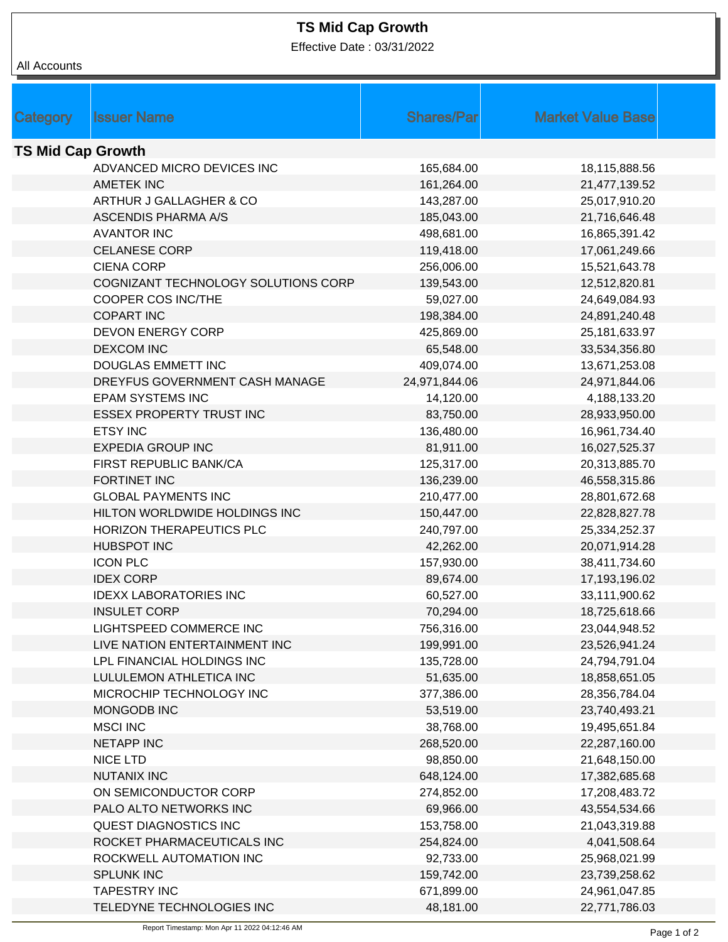## **TS Mid Cap Growth**

Effective Date : 03/31/2022

| All Accounts             |                                     |                   |                          |
|--------------------------|-------------------------------------|-------------------|--------------------------|
|                          |                                     |                   |                          |
|                          |                                     |                   |                          |
| <b>Category</b>          | <b>Issuer Name</b>                  | <b>Shares/Par</b> | <b>Market Value Base</b> |
| <b>TS Mid Cap Growth</b> |                                     |                   |                          |
|                          | ADVANCED MICRO DEVICES INC          | 165,684.00        | 18,115,888.56            |
|                          | <b>AMETEK INC</b>                   | 161,264.00        | 21,477,139.52            |
|                          | ARTHUR J GALLAGHER & CO             | 143,287.00        | 25,017,910.20            |
|                          | <b>ASCENDIS PHARMA A/S</b>          | 185,043.00        | 21,716,646.48            |
|                          | <b>AVANTOR INC</b>                  | 498,681.00        | 16,865,391.42            |
|                          | <b>CELANESE CORP</b>                | 119,418.00        | 17,061,249.66            |
|                          | <b>CIENA CORP</b>                   | 256,006.00        | 15,521,643.78            |
|                          | COGNIZANT TECHNOLOGY SOLUTIONS CORP | 139,543.00        | 12,512,820.81            |
|                          | COOPER COS INC/THE                  | 59,027.00         | 24,649,084.93            |
|                          | <b>COPART INC</b>                   | 198,384.00        | 24,891,240.48            |
|                          | <b>DEVON ENERGY CORP</b>            | 425,869.00        | 25, 181, 633. 97         |
|                          | <b>DEXCOM INC</b>                   | 65,548.00         | 33,534,356.80            |
|                          | DOUGLAS EMMETT INC                  | 409,074.00        | 13,671,253.08            |
|                          | DREYFUS GOVERNMENT CASH MANAGE      | 24,971,844.06     | 24,971,844.06            |
|                          | <b>EPAM SYSTEMS INC</b>             | 14,120.00         | 4,188,133.20             |
|                          | <b>ESSEX PROPERTY TRUST INC</b>     | 83,750.00         | 28,933,950.00            |
|                          | <b>ETSY INC</b>                     | 136,480.00        | 16,961,734.40            |
|                          | <b>EXPEDIA GROUP INC</b>            | 81,911.00         | 16,027,525.37            |
|                          | FIRST REPUBLIC BANK/CA              | 125,317.00        | 20,313,885.70            |
|                          | FORTINET INC                        | 136,239.00        | 46,558,315.86            |
|                          | <b>GLOBAL PAYMENTS INC</b>          | 210,477.00        | 28,801,672.68            |
|                          | HILTON WORLDWIDE HOLDINGS INC       | 150,447.00        | 22,828,827.78            |
|                          | HORIZON THERAPEUTICS PLC            | 240,797.00        | 25,334,252.37            |
|                          | <b>HUBSPOT INC</b>                  | 42,262.00         | 20,071,914.28            |
|                          | <b>ICON PLC</b>                     | 157,930.00        | 38,411,734.60            |
|                          | <b>IDEX CORP</b>                    | 89,674.00         | 17,193,196.02            |
|                          | <b>IDEXX LABORATORIES INC</b>       | 60,527.00         | 33,111,900.62            |
|                          | <b>INSULET CORP</b>                 | 70,294.00         | 18,725,618.66            |
|                          | LIGHTSPEED COMMERCE INC             | 756,316.00        | 23,044,948.52            |
|                          | LIVE NATION ENTERTAINMENT INC       | 199,991.00        | 23,526,941.24            |
|                          | LPL FINANCIAL HOLDINGS INC          | 135,728.00        | 24,794,791.04            |
|                          | LULULEMON ATHLETICA INC             | 51,635.00         | 18,858,651.05            |
|                          | MICROCHIP TECHNOLOGY INC            | 377,386.00        | 28,356,784.04            |
|                          | MONGODB INC                         | 53,519.00         | 23,740,493.21            |
|                          | <b>MSCI INC</b>                     | 38,768.00         | 19,495,651.84            |
|                          | <b>NETAPP INC</b>                   | 268,520.00        | 22,287,160.00            |
|                          | <b>NICE LTD</b>                     | 98,850.00         | 21,648,150.00            |
|                          | <b>NUTANIX INC</b>                  | 648,124.00        | 17,382,685.68            |
|                          | ON SEMICONDUCTOR CORP               | 274,852.00        | 17,208,483.72            |
|                          | PALO ALTO NETWORKS INC              | 69,966.00         | 43,554,534.66            |
|                          | QUEST DIAGNOSTICS INC               | 153,758.00        | 21,043,319.88            |
|                          | ROCKET PHARMACEUTICALS INC          | 254,824.00        | 4,041,508.64             |
|                          | ROCKWELL AUTOMATION INC             | 92,733.00         | 25,968,021.99            |
|                          | <b>SPLUNK INC</b>                   | 159,742.00        | 23,739,258.62            |
|                          | <b>TAPESTRY INC</b>                 | 671,899.00        | 24,961,047.85            |
|                          | TELEDYNE TECHNOLOGIES INC           | 48,181.00         | 22,771,786.03            |